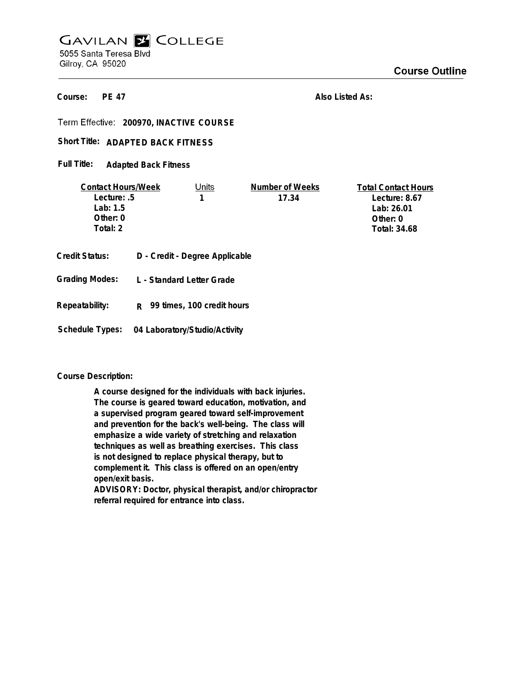# **GAVILAN E COLLEGE** 5055 Santa Teresa Blvd Gilroy, CA 95020

**PE 47 Course:**

**Also Listed As:**

**200970, INACTIVE COURSE**

## Short Title: ADAPTED BACK FITNESS

**Adapted Back Fitness Full Title:**

| <b>Contact Hours/Week</b> |  | Units                          | Number of Weeks | <b>Total Contact Hours</b> |
|---------------------------|--|--------------------------------|-----------------|----------------------------|
| Lecture: .5               |  |                                | 17.34           | Lecture: 8.67              |
| Lab: 1.5                  |  |                                |                 | Lab: 26.01                 |
| Other: $0$                |  |                                |                 | Other: 0                   |
| Total: 2                  |  |                                |                 | Total: 34.68               |
| Credit Status:            |  | D - Credit - Degree Applicable |                 |                            |
| <b>Grading Modes:</b>     |  | L - Standard Letter Grade      |                 |                            |

- 
- **Repeatability: R 99 times, 100 credit hours**
- **Schedule Types: 04 Laboratory/Studio/Activity**

## **Course Description:**

**A course designed for the individuals with back injuries. The course is geared toward education, motivation, and a supervised program geared toward self-improvement and prevention for the back's well-being. The class will emphasize a wide variety of stretching and relaxation techniques as well as breathing exercises. This class is not designed to replace physical therapy, but to complement it. This class is offered on an open/entry open/exit basis.**

**ADVISORY: Doctor, physical therapist, and/or chiropractor referral required for entrance into class.**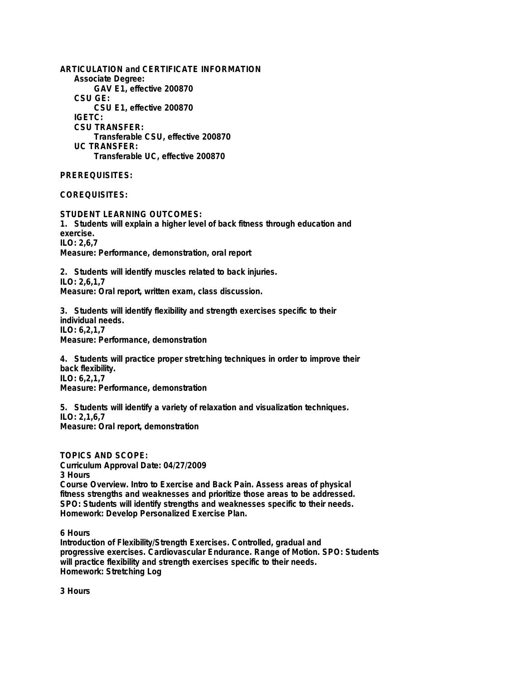**ARTICULATION and CERTIFICATE INFORMATION Associate Degree: GAV E1, effective 200870 CSU GE: CSU E1, effective 200870 IGETC: CSU TRANSFER: Transferable CSU, effective 200870 UC TRANSFER: Transferable UC, effective 200870**

**PREREQUISITES:**

**COREQUISITES:**

**STUDENT LEARNING OUTCOMES: 1. Students will explain a higher level of back fitness through education and exercise. ILO: 2,6,7 Measure: Performance, demonstration, oral report**

**2. Students will identify muscles related to back injuries. ILO: 2,6,1,7 Measure: Oral report, written exam, class discussion.**

**3. Students will identify flexibility and strength exercises specific to their individual needs. ILO: 6,2,1,7 Measure: Performance, demonstration**

**4. Students will practice proper stretching techniques in order to improve their back flexibility. ILO: 6,2,1,7 Measure: Performance, demonstration**

**5. Students will identify a variety of relaxation and visualization techniques. ILO: 2,1,6,7 Measure: Oral report, demonstration**

**TOPICS AND SCOPE: Curriculum Approval Date: 04/27/2009 3 Hours Course Overview. Intro to Exercise and Back Pain. Assess areas of physical fitness strengths and weaknesses and prioritize those areas to be addressed. SPO: Students will identify strengths and weaknesses specific to their needs. Homework: Develop Personalized Exercise Plan.**

**6 Hours**

**Introduction of Flexibility/Strength Exercises. Controlled, gradual and progressive exercises. Cardiovascular Endurance. Range of Motion. SPO: Students will practice flexibility and strength exercises specific to their needs. Homework: Stretching Log**

**3 Hours**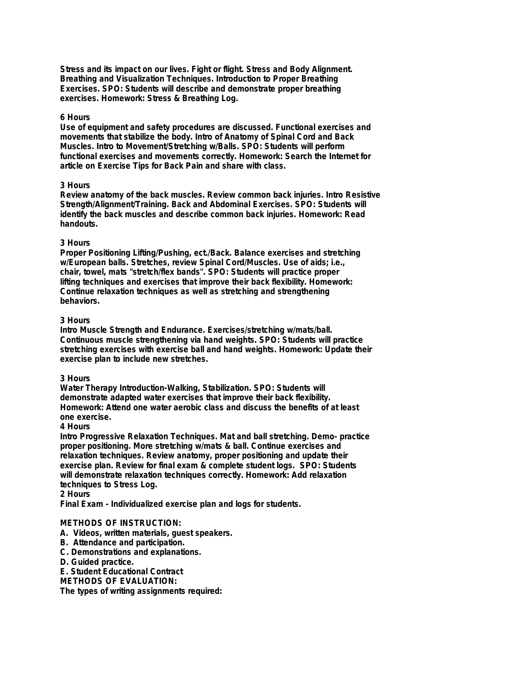**Stress and its impact on our lives. Fight or flight. Stress and Body Alignment. Breathing and Visualization Techniques. Introduction to Proper Breathing Exercises. SPO: Students will describe and demonstrate proper breathing exercises. Homework: Stress & Breathing Log.**

#### **6 Hours**

**Use of equipment and safety procedures are discussed. Functional exercises and movements that stabilize the body. Intro of Anatomy of Spinal Cord and Back Muscles. Intro to Movement/Stretching w/Balls. SPO: Students will perform functional exercises and movements correctly. Homework: Search the Internet for article on Exercise Tips for Back Pain and share with class.**

### **3 Hours**

**Review anatomy of the back muscles. Review common back injuries. Intro Resistive Strength/Alignment/Training. Back and Abdominal Exercises. SPO: Students will identify the back muscles and describe common back injuries. Homework: Read handouts.**

### **3 Hours**

**Proper Positioning Lifting/Pushing, ect./Back. Balance exercises and stretching w/European balls. Stretches, review Spinal Cord/Muscles. Use of aids; i.e., chair, towel, mats "stretch/flex bands". SPO: Students will practice proper lifting techniques and exercises that improve their back flexibility. Homework: Continue relaxation techniques as well as stretching and strengthening behaviors.**

### **3 Hours**

**Intro Muscle Strength and Endurance. Exercises/stretching w/mats/ball. Continuous muscle strengthening via hand weights. SPO: Students will practice stretching exercises with exercise ball and hand weights. Homework: Update their exercise plan to include new stretches.**

### **3 Hours**

**Water Therapy Introduction-Walking, Stabilization. SPO: Students will demonstrate adapted water exercises that improve their back flexibility. Homework: Attend one water aerobic class and discuss the benefits of at least one exercise.**

### **4 Hours**

**Intro Progressive Relaxation Techniques. Mat and ball stretching. Demo- practice proper positioning. More stretching w/mats & ball. Continue exercises and relaxation techniques. Review anatomy, proper positioning and update their exercise plan. Review for final exam & complete student logs. SPO: Students will demonstrate relaxation techniques correctly. Homework: Add relaxation techniques to Stress Log.**

#### **2 Hours**

**Final Exam - Individualized exercise plan and logs for students.**

### **METHODS OF INSTRUCTION:**

- **A. Videos, written materials, guest speakers.**
- **B. Attendance and participation.**
- **C. Demonstrations and explanations.**
- **D. Guided practice.**
- **E. Student Educational Contract**

**METHODS OF EVALUATION:**

**The types of writing assignments required:**